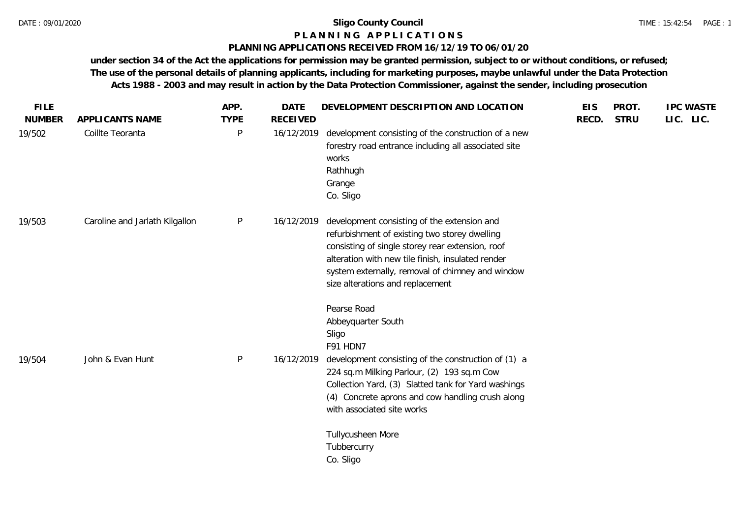## **P L A N N I N G A P P L I C A T I O N S**

## **PLANNING APPLICATIONS RECEIVED FROM 16/12/19 TO 06/01/20**

|                                | APP.             | <b>DATE</b>     |                                                                                                                                                                                                                                                                                               | <b>EIS</b>                           | PROT.       | <b>IPC WASTE</b> |
|--------------------------------|------------------|-----------------|-----------------------------------------------------------------------------------------------------------------------------------------------------------------------------------------------------------------------------------------------------------------------------------------------|--------------------------------------|-------------|------------------|
| APPLICANTS NAME                | <b>TYPE</b>      | <b>RECEIVED</b> |                                                                                                                                                                                                                                                                                               | RECD.                                | <b>STRU</b> | LIC. LIC.        |
|                                | P                | 16/12/2019      | development consisting of the construction of a new<br>forestry road entrance including all associated site<br>works<br>Rathhugh<br>Grange<br>Co. Sligo                                                                                                                                       |                                      |             |                  |
| Caroline and Jarlath Kilgallon | P                | 16/12/2019      | development consisting of the extension and<br>refurbishment of existing two storey dwelling<br>consisting of single storey rear extension, roof<br>alteration with new tile finish, insulated render<br>system externally, removal of chimney and window<br>size alterations and replacement |                                      |             |                  |
| John & Evan Hunt               | P                | 16/12/2019      | Pearse Road<br>Abbeyquarter South<br>Sligo<br>F91 HDN7<br>development consisting of the construction of (1) a<br>224 sq.m Milking Parlour, (2) 193 sq.m Cow                                                                                                                                   |                                      |             |                  |
|                                |                  |                 | Collection Yard, (3) Slatted tank for Yard washings<br>(4) Concrete aprons and cow handling crush along<br>with associated site works<br>Tullycusheen More<br>Tubbercurry                                                                                                                     |                                      |             |                  |
|                                | Coillte Teoranta |                 |                                                                                                                                                                                                                                                                                               | DEVELOPMENT DESCRIPTION AND LOCATION | Co. Sligo   |                  |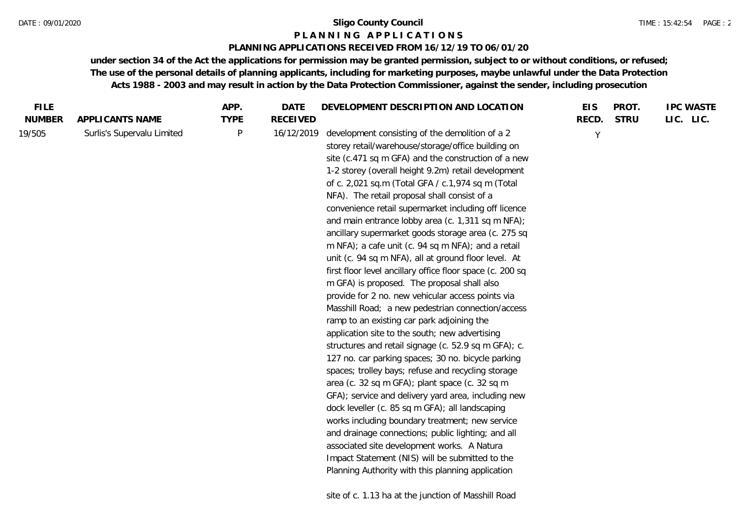#### **P L A N N I N G A P P L I C A T I O N S**

#### **PLANNING APPLICATIONS RECEIVED FROM 16/12/19 TO 06/01/20**

| <b>FILE</b>   |                            | APP.         | DATE            | DEVELOPMENT DESCRIPTION AND LOCATION                                                                                                                                                                                                                                                                                                                                                                                                                                                                                                                                                                                                                                                                                                                                                                                                                                                                                                                                                                                                                                                                                                                                                                                                                                                                                                                                                                                                                                                                                             | <b>EIS</b> | PROT.       | <b>IPC WASTE</b> |
|---------------|----------------------------|--------------|-----------------|----------------------------------------------------------------------------------------------------------------------------------------------------------------------------------------------------------------------------------------------------------------------------------------------------------------------------------------------------------------------------------------------------------------------------------------------------------------------------------------------------------------------------------------------------------------------------------------------------------------------------------------------------------------------------------------------------------------------------------------------------------------------------------------------------------------------------------------------------------------------------------------------------------------------------------------------------------------------------------------------------------------------------------------------------------------------------------------------------------------------------------------------------------------------------------------------------------------------------------------------------------------------------------------------------------------------------------------------------------------------------------------------------------------------------------------------------------------------------------------------------------------------------------|------------|-------------|------------------|
| <b>NUMBER</b> | APPLICANTS NAME            | <b>TYPE</b>  | <b>RECEIVED</b> |                                                                                                                                                                                                                                                                                                                                                                                                                                                                                                                                                                                                                                                                                                                                                                                                                                                                                                                                                                                                                                                                                                                                                                                                                                                                                                                                                                                                                                                                                                                                  | RECD.      | <b>STRU</b> | LIC. LIC.        |
| 19/505        | Surlis's Supervalu Limited | $\mathsf{P}$ | 16/12/2019      | development consisting of the demolition of a 2<br>storey retail/warehouse/storage/office building on<br>site (c.471 sq m GFA) and the construction of a new<br>1-2 storey (overall height 9.2m) retail development<br>of c. 2,021 sq.m (Total GFA / c.1,974 sq m (Total<br>NFA). The retail proposal shall consist of a<br>convenience retail supermarket including off licence<br>and main entrance lobby area (c. 1,311 sq m NFA);<br>ancillary supermarket goods storage area (c. 275 sq<br>m NFA); a cafe unit (c. 94 sq m NFA); and a retail<br>unit (c. 94 sq m NFA), all at ground floor level. At<br>first floor level ancillary office floor space (c. 200 sq<br>m GFA) is proposed. The proposal shall also<br>provide for 2 no. new vehicular access points via<br>Masshill Road; a new pedestrian connection/access<br>ramp to an existing car park adjoining the<br>application site to the south; new advertising<br>structures and retail signage (c. 52.9 sq m GFA); c.<br>127 no. car parking spaces; 30 no. bicycle parking<br>spaces; trolley bays; refuse and recycling storage<br>area (c. 32 sq m GFA); plant space (c. 32 sq m<br>GFA); service and delivery yard area, including new<br>dock leveller (c. 85 sq m GFA); all landscaping<br>works including boundary treatment; new service<br>and drainage connections; public lighting; and all<br>associated site development works. A Natura<br>Impact Statement (NIS) will be submitted to the<br>Planning Authority with this planning application | Y          |             |                  |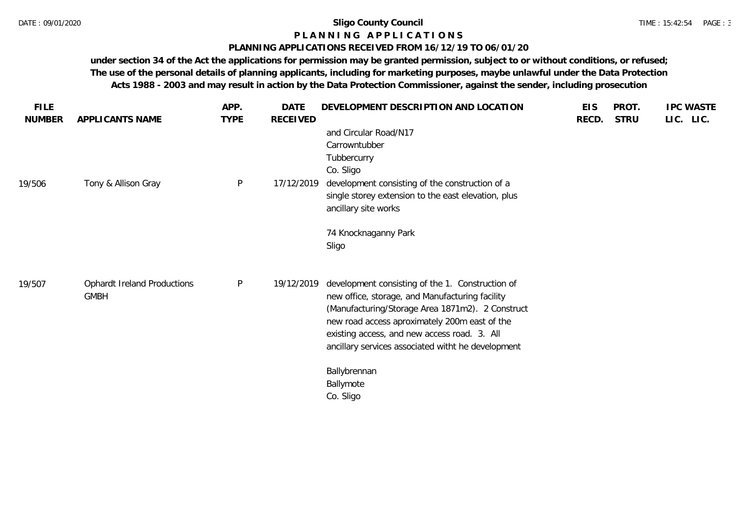#### **P L A N N I N G A P P L I C A T I O N S**

### **PLANNING APPLICATIONS RECEIVED FROM 16/12/19 TO 06/01/20**

| <b>FILE</b> |                                                   | APP.        | <b>DATE</b> | DEVELOPMENT DESCRIPTION AND LOCATION                                                                                                                                                                                                                                                                           | <b>EIS</b> | PROT.       | <b>IPC WASTE</b> |
|-------------|---------------------------------------------------|-------------|-------------|----------------------------------------------------------------------------------------------------------------------------------------------------------------------------------------------------------------------------------------------------------------------------------------------------------------|------------|-------------|------------------|
| NUMBER      | APPLICANTS NAME                                   | <b>TYPE</b> | RECEIVED    | and Circular Road/N17<br>Carrowntubber<br>Tubbercurry<br>Co. Sligo                                                                                                                                                                                                                                             | RECD.      | <b>STRU</b> | LIC. LIC.        |
| 19/506      | Tony & Allison Gray                               | $\sf P$     | 17/12/2019  | development consisting of the construction of a<br>single storey extension to the east elevation, plus<br>ancillary site works                                                                                                                                                                                 |            |             |                  |
|             |                                                   |             |             | 74 Knocknaganny Park<br>Sligo                                                                                                                                                                                                                                                                                  |            |             |                  |
| 19/507      | <b>Ophardt Ireland Productions</b><br><b>GMBH</b> | $\sf P$     | 19/12/2019  | development consisting of the 1. Construction of<br>new office, storage, and Manufacturing facility<br>(Manufacturing/Storage Area 1871m2). 2 Construct<br>new road access aproximately 200m east of the<br>existing access, and new access road. 3. All<br>ancillary services associated witht he development |            |             |                  |
|             |                                                   |             |             | Ballybrennan<br>Ballymote<br>Co. Sligo                                                                                                                                                                                                                                                                         |            |             |                  |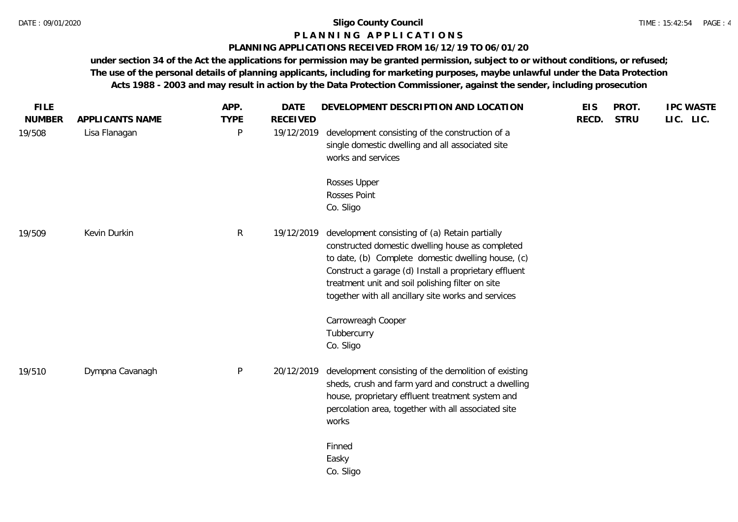### **P L A N N I N G A P P L I C A T I O N S**

## **PLANNING APPLICATIONS RECEIVED FROM 16/12/19 TO 06/01/20**

| <b>FILE</b>             |                                  | APP.             | <b>DATE</b>                   | DEVELOPMENT DESCRIPTION AND LOCATION                                                                                                                                                                                                                                                                                         | <b>EIS</b> | PROT.       | <b>IPC WASTE</b> |
|-------------------------|----------------------------------|------------------|-------------------------------|------------------------------------------------------------------------------------------------------------------------------------------------------------------------------------------------------------------------------------------------------------------------------------------------------------------------------|------------|-------------|------------------|
| <b>NUMBER</b><br>19/508 | APPLICANTS NAME<br>Lisa Flanagan | <b>TYPE</b><br>P | <b>RECEIVED</b><br>19/12/2019 | development consisting of the construction of a<br>single domestic dwelling and all associated site<br>works and services                                                                                                                                                                                                    | RECD.      | <b>STRU</b> | LIC. LIC.        |
|                         |                                  |                  |                               | Rosses Upper<br>Rosses Point<br>Co. Sligo                                                                                                                                                                                                                                                                                    |            |             |                  |
| 19/509                  | Kevin Durkin                     | $\mathsf{R}$     | 19/12/2019                    | development consisting of (a) Retain partially<br>constructed domestic dwelling house as completed<br>to date, (b) Complete domestic dwelling house, (c)<br>Construct a garage (d) Install a proprietary effluent<br>treatment unit and soil polishing filter on site<br>together with all ancillary site works and services |            |             |                  |
|                         |                                  |                  |                               | Carrowreagh Cooper<br>Tubbercurry<br>Co. Sligo                                                                                                                                                                                                                                                                               |            |             |                  |
| 19/510                  | Dympna Cavanagh                  | P                | 20/12/2019                    | development consisting of the demolition of existing<br>sheds, crush and farm yard and construct a dwelling<br>house, proprietary effluent treatment system and<br>percolation area, together with all associated site<br>works                                                                                              |            |             |                  |
|                         |                                  |                  |                               | Finned<br>Easky<br>Co. Sligo                                                                                                                                                                                                                                                                                                 |            |             |                  |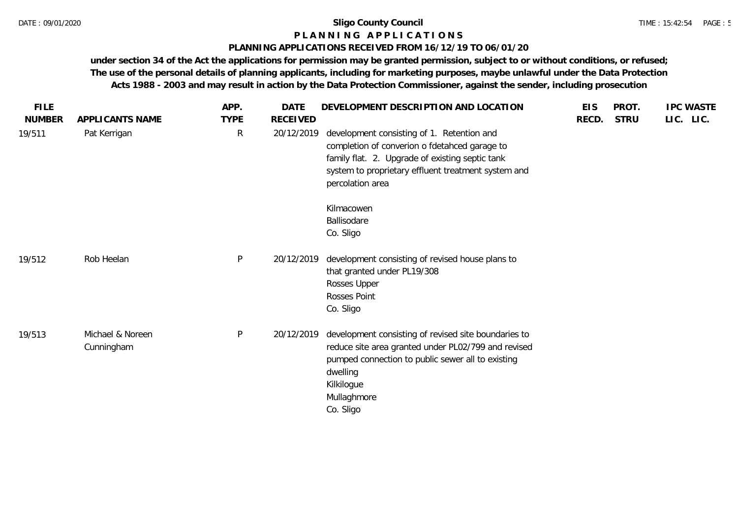#### **P L A N N I N G A P P L I C A T I O N S**

## **PLANNING APPLICATIONS RECEIVED FROM 16/12/19 TO 06/01/20**

| <b>FILE</b>   |                                | APP.         | <b>DATE</b>     | DEVELOPMENT DESCRIPTION AND LOCATION                                                                                                                                                                                      | <b>EIS</b> | PROT.       | <b>IPC WASTE</b> |
|---------------|--------------------------------|--------------|-----------------|---------------------------------------------------------------------------------------------------------------------------------------------------------------------------------------------------------------------------|------------|-------------|------------------|
| <b>NUMBER</b> | APPLICANTS NAME                | <b>TYPE</b>  | <b>RECEIVED</b> |                                                                                                                                                                                                                           | RECD.      | <b>STRU</b> | LIC. LIC.        |
| 19/511        | Pat Kerrigan                   | $\mathsf{R}$ | 20/12/2019      | development consisting of 1. Retention and<br>completion of converion o fdetahced garage to<br>family flat. 2. Upgrade of existing septic tank<br>system to proprietary effluent treatment system and<br>percolation area |            |             |                  |
|               |                                |              |                 | Kilmacowen                                                                                                                                                                                                                |            |             |                  |
|               |                                |              |                 | Ballisodare                                                                                                                                                                                                               |            |             |                  |
|               |                                |              |                 | Co. Sligo                                                                                                                                                                                                                 |            |             |                  |
| 19/512        | Rob Heelan                     | P            | 20/12/2019      | development consisting of revised house plans to<br>that granted under PL19/308<br>Rosses Upper<br>Rosses Point<br>Co. Sligo                                                                                              |            |             |                  |
| 19/513        | Michael & Noreen<br>Cunningham | P            | 20/12/2019      | development consisting of revised site boundaries to<br>reduce site area granted under PL02/799 and revised<br>pumped connection to public sewer all to existing<br>dwelling<br>Kilkilogue<br>Mullaghmore<br>Co. Sligo    |            |             |                  |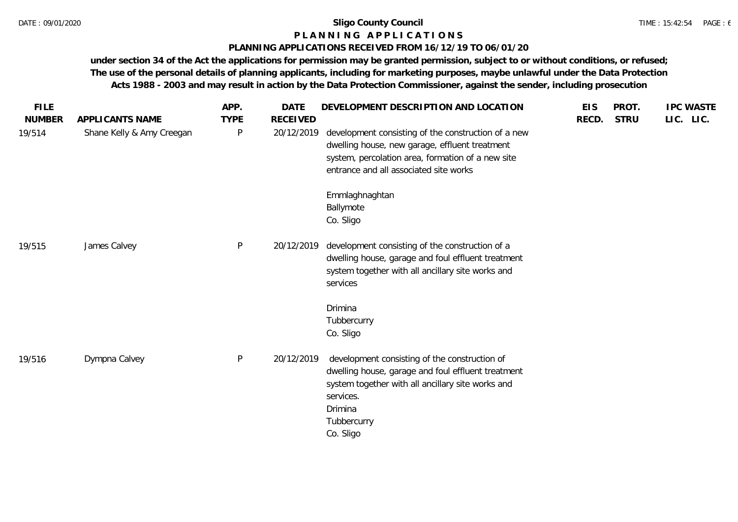#### **P L A N N I N G A P P L I C A T I O N S**

## **PLANNING APPLICATIONS RECEIVED FROM 16/12/19 TO 06/01/20**

| <b>FILE</b><br><b>NUMBER</b> | APPLICANTS NAME           | APP.<br><b>TYPE</b> | <b>DATE</b><br><b>RECEIVED</b> | DEVELOPMENT DESCRIPTION AND LOCATION                                                                                                                                                                         | <b>EIS</b><br>RECD. | PROT.<br><b>STRU</b> | <b>IPC WASTE</b><br>LIC. LIC. |
|------------------------------|---------------------------|---------------------|--------------------------------|--------------------------------------------------------------------------------------------------------------------------------------------------------------------------------------------------------------|---------------------|----------------------|-------------------------------|
| 19/514                       | Shane Kelly & Amy Creegan | $\mathsf{P}$        | 20/12/2019                     | development consisting of the construction of a new<br>dwelling house, new garage, effluent treatment<br>system, percolation area, formation of a new site<br>entrance and all associated site works         |                     |                      |                               |
|                              |                           |                     |                                | Emmlaghnaghtan<br>Ballymote<br>Co. Sligo                                                                                                                                                                     |                     |                      |                               |
| 19/515                       | James Calvey              | $\mathsf{P}$        | 20/12/2019                     | development consisting of the construction of a<br>dwelling house, garage and foul effluent treatment<br>system together with all ancillary site works and<br>services                                       |                     |                      |                               |
|                              |                           |                     |                                | Drimina<br>Tubbercurry<br>Co. Sligo                                                                                                                                                                          |                     |                      |                               |
| 19/516                       | Dympna Calvey             | $\mathsf{P}$        | 20/12/2019                     | development consisting of the construction of<br>dwelling house, garage and foul effluent treatment<br>system together with all ancillary site works and<br>services.<br>Drimina<br>Tubbercurry<br>Co. Sligo |                     |                      |                               |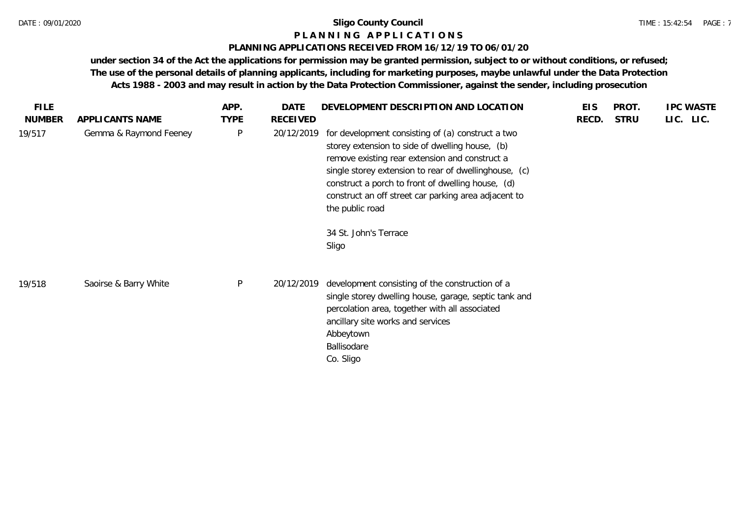#### TIME : 15:42:54 PAGE : 7

## **P L A N N I N G A P P L I C A T I O N S**

## **PLANNING APPLICATIONS RECEIVED FROM 16/12/19 TO 06/01/20**

| <b>FILE</b>             |                                           | APP.             | <b>DATE</b>                   | DEVELOPMENT DESCRIPTION AND LOCATION                                                                                                                                                                                                                                                                                                                                     | <b>EIS</b> | PROT.       | <b>IPC WASTE</b> |
|-------------------------|-------------------------------------------|------------------|-------------------------------|--------------------------------------------------------------------------------------------------------------------------------------------------------------------------------------------------------------------------------------------------------------------------------------------------------------------------------------------------------------------------|------------|-------------|------------------|
| <b>NUMBER</b><br>19/517 | APPLICANTS NAME<br>Gemma & Raymond Feeney | <b>TYPE</b><br>P | <b>RECEIVED</b><br>20/12/2019 | for development consisting of (a) construct a two<br>storey extension to side of dwelling house, (b)<br>remove existing rear extension and construct a<br>single storey extension to rear of dwellinghouse, (c)<br>construct a porch to front of dwelling house, (d)<br>construct an off street car parking area adjacent to<br>the public road<br>34 St. John's Terrace | RECD.      | <b>STRU</b> | LIC. LIC.        |
| 19/518                  | Saoirse & Barry White                     | P                | 20/12/2019                    | Sligo<br>development consisting of the construction of a<br>single storey dwelling house, garage, septic tank and<br>percolation area, together with all associated<br>ancillary site works and services<br>Abbeytown<br>Ballisodare<br>Co. Sligo                                                                                                                        |            |             |                  |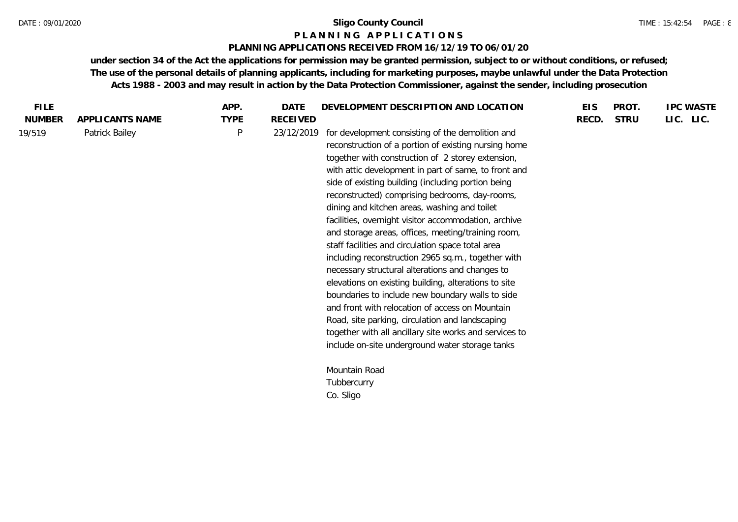#### **P L A N N I N G A P P L I C A T I O N S**

#### **PLANNING APPLICATIONS RECEIVED FROM 16/12/19 TO 06/01/20**

| <b>FILE</b>   |                 | APP.        | <b>DATE</b> | DEVELOPMENT DESCRIPTION AND LOCATION                                                                                                                                                                                                                                                                                                                                                                                                                                                                                                                                                                                                                                                                                                                                                                                                                                                                                                                                                     | <b>EIS</b> | PROT.       | <b>IPC WASTE</b> |
|---------------|-----------------|-------------|-------------|------------------------------------------------------------------------------------------------------------------------------------------------------------------------------------------------------------------------------------------------------------------------------------------------------------------------------------------------------------------------------------------------------------------------------------------------------------------------------------------------------------------------------------------------------------------------------------------------------------------------------------------------------------------------------------------------------------------------------------------------------------------------------------------------------------------------------------------------------------------------------------------------------------------------------------------------------------------------------------------|------------|-------------|------------------|
| <b>NUMBER</b> | APPLICANTS NAME | <b>TYPE</b> | RECEIVED    |                                                                                                                                                                                                                                                                                                                                                                                                                                                                                                                                                                                                                                                                                                                                                                                                                                                                                                                                                                                          | RECD.      | <b>STRU</b> | LIC. LIC.        |
| 19/519        | Patrick Bailey  | P           | 23/12/2019  | for development consisting of the demolition and<br>reconstruction of a portion of existing nursing home<br>together with construction of 2 storey extension,<br>with attic development in part of same, to front and<br>side of existing building (including portion being<br>reconstructed) comprising bedrooms, day-rooms,<br>dining and kitchen areas, washing and toilet<br>facilities, overnight visitor accommodation, archive<br>and storage areas, offices, meeting/training room,<br>staff facilities and circulation space total area<br>including reconstruction 2965 sq.m., together with<br>necessary structural alterations and changes to<br>elevations on existing building, alterations to site<br>boundaries to include new boundary walls to side<br>and front with relocation of access on Mountain<br>Road, site parking, circulation and landscaping<br>together with all ancillary site works and services to<br>include on-site underground water storage tanks |            |             |                  |
|               |                 |             |             | Mountain Road                                                                                                                                                                                                                                                                                                                                                                                                                                                                                                                                                                                                                                                                                                                                                                                                                                                                                                                                                                            |            |             |                  |
|               |                 |             |             | Tubbercurry                                                                                                                                                                                                                                                                                                                                                                                                                                                                                                                                                                                                                                                                                                                                                                                                                                                                                                                                                                              |            |             |                  |
|               |                 |             |             | Co. Sligo                                                                                                                                                                                                                                                                                                                                                                                                                                                                                                                                                                                                                                                                                                                                                                                                                                                                                                                                                                                |            |             |                  |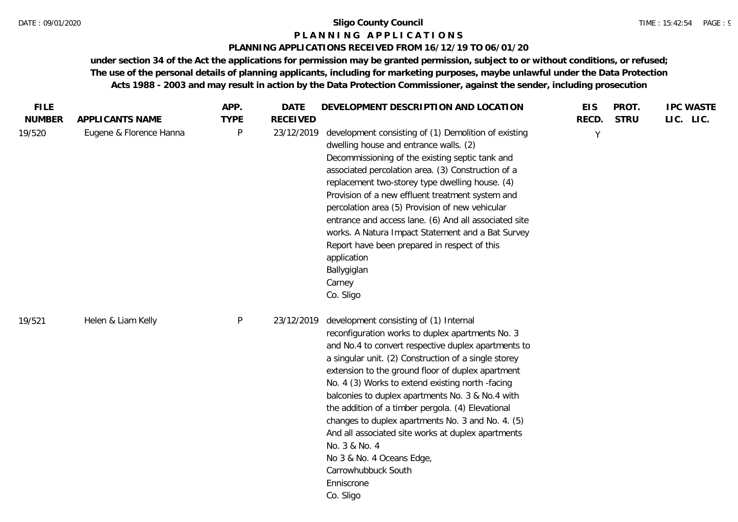#### **P L A N N I N G A P P L I C A T I O N S**

## **PLANNING APPLICATIONS RECEIVED FROM 16/12/19 TO 06/01/20**

| <b>FILE</b>   |                         | APP.        | <b>DATE</b>     | DEVELOPMENT DESCRIPTION AND LOCATION                                                                                                                                                                                                                                                                                                                                                                                                                                                                                                                                                                                                   | <b>EIS</b>   | PROT.       | <b>IPC WASTE</b> |
|---------------|-------------------------|-------------|-----------------|----------------------------------------------------------------------------------------------------------------------------------------------------------------------------------------------------------------------------------------------------------------------------------------------------------------------------------------------------------------------------------------------------------------------------------------------------------------------------------------------------------------------------------------------------------------------------------------------------------------------------------------|--------------|-------------|------------------|
| <b>NUMBER</b> | APPLICANTS NAME         | <b>TYPE</b> | <b>RECEIVED</b> |                                                                                                                                                                                                                                                                                                                                                                                                                                                                                                                                                                                                                                        | RECD.        | <b>STRU</b> | LIC. LIC.        |
| 19/520        | Eugene & Florence Hanna | P           | 23/12/2019      | development consisting of (1) Demolition of existing<br>dwelling house and entrance walls. (2)<br>Decommissioning of the existing septic tank and<br>associated percolation area. (3) Construction of a<br>replacement two-storey type dwelling house. (4)<br>Provision of a new effluent treatment system and<br>percolation area (5) Provision of new vehicular<br>entrance and access lane. (6) And all associated site<br>works. A Natura Impact Statement and a Bat Survey<br>Report have been prepared in respect of this<br>application<br>Ballygiglan<br>Carney<br>Co. Sligo                                                   | $\mathsf{Y}$ |             |                  |
| 19/521        | Helen & Liam Kelly      | P           | 23/12/2019      | development consisting of (1) Internal<br>reconfiguration works to duplex apartments No. 3<br>and No.4 to convert respective duplex apartments to<br>a singular unit. (2) Construction of a single storey<br>extension to the ground floor of duplex apartment<br>No. 4 (3) Works to extend existing north -facing<br>balconies to duplex apartments No. 3 & No.4 with<br>the addition of a timber pergola. (4) Elevational<br>changes to duplex apartments No. 3 and No. 4. (5)<br>And all associated site works at duplex apartments<br>No. 3 & No. 4<br>No 3 & No. 4 Oceans Edge,<br>Carrowhubbuck South<br>Enniscrone<br>Co. Sligo |              |             |                  |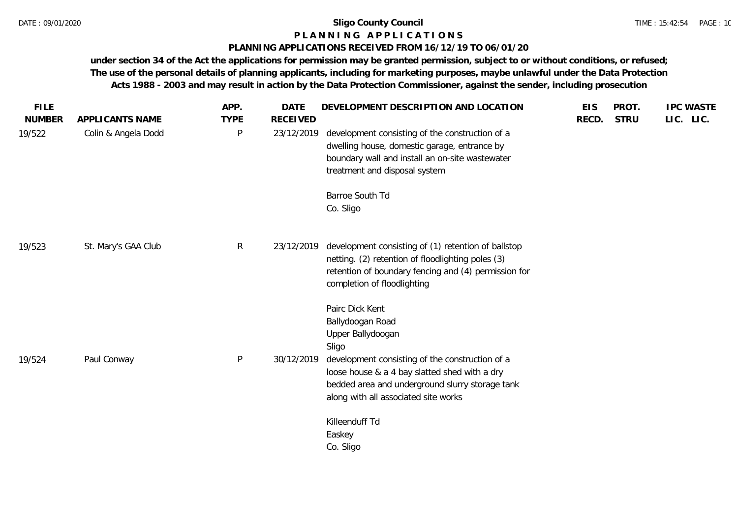## **P L A N N I N G A P P L I C A T I O N S**

## **PLANNING APPLICATIONS RECEIVED FROM 16/12/19 TO 06/01/20**

| <b>FILE</b>   |                     | APP.         | <b>DATE</b>     | DEVELOPMENT DESCRIPTION AND LOCATION                                                                                                                                                            | <b>EIS</b> | PROT.       | <b>IPC WASTE</b> |
|---------------|---------------------|--------------|-----------------|-------------------------------------------------------------------------------------------------------------------------------------------------------------------------------------------------|------------|-------------|------------------|
| <b>NUMBER</b> | APPLICANTS NAME     | <b>TYPE</b>  | <b>RECEIVED</b> |                                                                                                                                                                                                 | RECD.      | <b>STRU</b> | LIC. LIC.        |
| 19/522        | Colin & Angela Dodd | $\mathsf{P}$ | 23/12/2019      | development consisting of the construction of a<br>dwelling house, domestic garage, entrance by<br>boundary wall and install an on-site wastewater<br>treatment and disposal system             |            |             |                  |
|               |                     |              |                 | Barroe South Td<br>Co. Sligo                                                                                                                                                                    |            |             |                  |
| 19/523        | St. Mary's GAA Club | $\mathsf{R}$ | 23/12/2019      | development consisting of (1) retention of ballstop<br>netting. (2) retention of floodlighting poles (3)<br>retention of boundary fencing and (4) permission for<br>completion of floodlighting |            |             |                  |
| 19/524        | Paul Conway         | $\mathsf{P}$ | 30/12/2019      | Pairc Dick Kent<br>Ballydoogan Road<br>Upper Ballydoogan<br>Sligo<br>development consisting of the construction of a<br>loose house & a 4 bay slatted shed with a dry                           |            |             |                  |
|               |                     |              |                 | bedded area and underground slurry storage tank<br>along with all associated site works                                                                                                         |            |             |                  |
|               |                     |              |                 | Killeenduff Td<br>Easkey<br>Co. Sligo                                                                                                                                                           |            |             |                  |
|               |                     |              |                 |                                                                                                                                                                                                 |            |             |                  |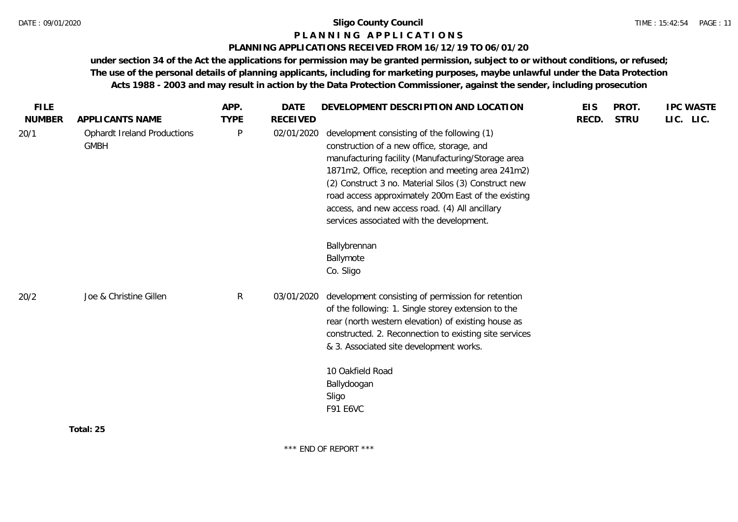#### **P L A N N I N G A P P L I C A T I O N S**

#### **PLANNING APPLICATIONS RECEIVED FROM 16/12/19 TO 06/01/20**

| <b>FILE</b>   |                                                   | APP.         | <b>DATE</b>     | DEVELOPMENT DESCRIPTION AND LOCATION                                                                                                                                                                                                                                                                                                                                                                                               | <b>EIS</b> | PROT.       | <b>IPC WASTE</b> |
|---------------|---------------------------------------------------|--------------|-----------------|------------------------------------------------------------------------------------------------------------------------------------------------------------------------------------------------------------------------------------------------------------------------------------------------------------------------------------------------------------------------------------------------------------------------------------|------------|-------------|------------------|
| <b>NUMBER</b> | APPLICANTS NAME                                   | <b>TYPE</b>  | <b>RECEIVED</b> |                                                                                                                                                                                                                                                                                                                                                                                                                                    | RECD.      | <b>STRU</b> | LIC. LIC.        |
| 20/1          | <b>Ophardt Ireland Productions</b><br><b>GMBH</b> | $\mathsf{P}$ | 02/01/2020      | development consisting of the following (1)<br>construction of a new office, storage, and<br>manufacturing facility (Manufacturing/Storage area<br>1871m2, Office, reception and meeting area 241m2)<br>(2) Construct 3 no. Material Silos (3) Construct new<br>road access approximately 200m East of the existing<br>access, and new access road. (4) All ancillary<br>services associated with the development.<br>Ballybrennan |            |             |                  |
|               |                                                   |              |                 | Ballymote                                                                                                                                                                                                                                                                                                                                                                                                                          |            |             |                  |
|               |                                                   |              |                 | Co. Sligo                                                                                                                                                                                                                                                                                                                                                                                                                          |            |             |                  |
| 20/2          | Joe & Christine Gillen                            | $\mathsf{R}$ | 03/01/2020      | development consisting of permission for retention<br>of the following: 1. Single storey extension to the<br>rear (north western elevation) of existing house as<br>constructed. 2. Reconnection to existing site services<br>& 3. Associated site development works.                                                                                                                                                              |            |             |                  |
|               |                                                   |              |                 | 10 Oakfield Road                                                                                                                                                                                                                                                                                                                                                                                                                   |            |             |                  |
|               |                                                   |              |                 | Ballydoogan<br>Sligo<br>F91 E6VC                                                                                                                                                                                                                                                                                                                                                                                                   |            |             |                  |
|               | Total: 25                                         |              |                 |                                                                                                                                                                                                                                                                                                                                                                                                                                    |            |             |                  |
|               |                                                   |              |                 |                                                                                                                                                                                                                                                                                                                                                                                                                                    |            |             |                  |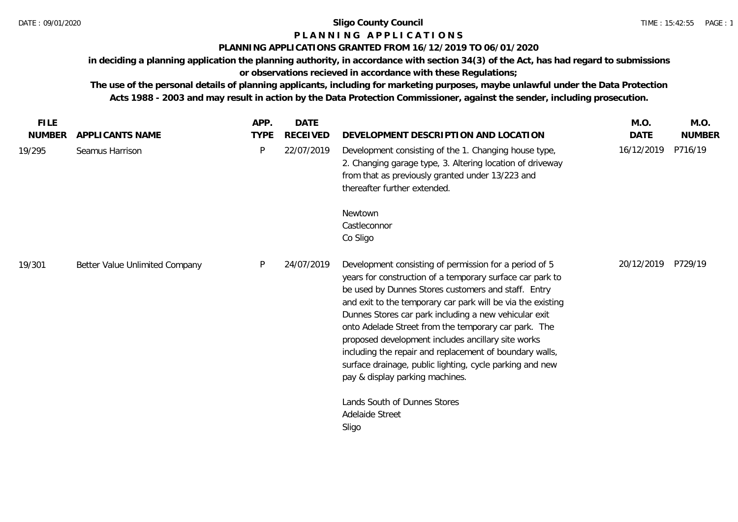# **P L A N N I N G A P P L I C A T I O N S**

## **PLANNING APPLICATIONS GRANTED FROM 16/12/2019 TO 06/01/2020**

**in deciding a planning application the planning authority, in accordance with section 34(3) of the Act, has had regard to submissions** 

**or observations recieved in accordance with these Regulations;**

| APPLICANTS NAME                |             |                 |                                                                                                                                                                                                                                                                                                                                                                                                                                                                                                                                                                            |             |               |
|--------------------------------|-------------|-----------------|----------------------------------------------------------------------------------------------------------------------------------------------------------------------------------------------------------------------------------------------------------------------------------------------------------------------------------------------------------------------------------------------------------------------------------------------------------------------------------------------------------------------------------------------------------------------------|-------------|---------------|
|                                | <b>TYPE</b> | <b>RECEIVED</b> | DEVELOPMENT DESCRIPTION AND LOCATION                                                                                                                                                                                                                                                                                                                                                                                                                                                                                                                                       | <b>DATE</b> | <b>NUMBER</b> |
| Seamus Harrison                | P           | 22/07/2019      | Development consisting of the 1. Changing house type,<br>2. Changing garage type, 3. Altering location of driveway<br>from that as previously granted under 13/223 and<br>thereafter further extended.                                                                                                                                                                                                                                                                                                                                                                     | 16/12/2019  | P716/19       |
|                                |             |                 | Newtown<br>Castleconnor<br>Co Sligo                                                                                                                                                                                                                                                                                                                                                                                                                                                                                                                                        |             |               |
| Better Value Unlimited Company | P           | 24/07/2019      | Development consisting of permission for a period of 5<br>years for construction of a temporary surface car park to<br>be used by Dunnes Stores customers and staff. Entry<br>and exit to the temporary car park will be via the existing<br>Dunnes Stores car park including a new vehicular exit<br>onto Adelade Street from the temporary car park. The<br>proposed development includes ancillary site works<br>including the repair and replacement of boundary walls,<br>surface drainage, public lighting, cycle parking and new<br>pay & display parking machines. | 20/12/2019  | P729/19       |
|                                |             |                 | Lands South of Dunnes Stores<br>Adelaide Street<br>Sligo                                                                                                                                                                                                                                                                                                                                                                                                                                                                                                                   |             |               |
|                                |             |                 |                                                                                                                                                                                                                                                                                                                                                                                                                                                                                                                                                                            |             |               |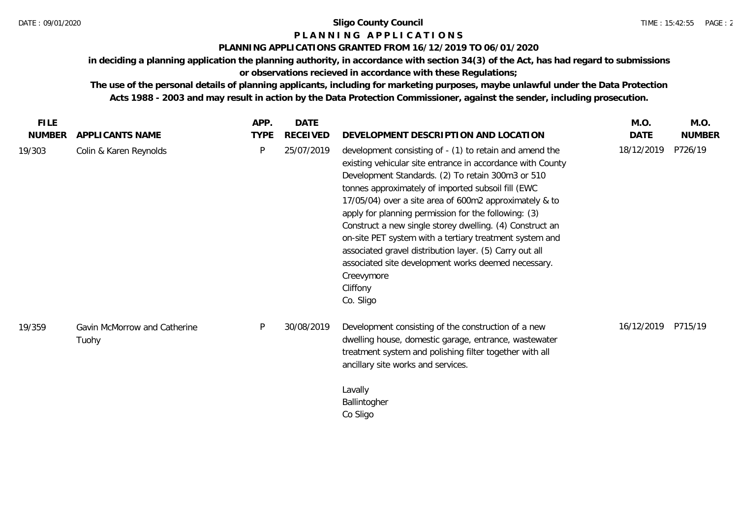## **P L A N N I N G A P P L I C A T I O N S**

## **PLANNING APPLICATIONS GRANTED FROM 16/12/2019 TO 06/01/2020**

**in deciding a planning application the planning authority, in accordance with section 34(3) of the Act, has had regard to submissions or observations recieved in accordance with these Regulations;**

| <b>FILE</b>   |                                       | APP.        | DATE            |                                                                                                                                                                                                                                                                                                                                                                                                                                                                                                                                                                                                                                    | M.O.       | M.O.          |
|---------------|---------------------------------------|-------------|-----------------|------------------------------------------------------------------------------------------------------------------------------------------------------------------------------------------------------------------------------------------------------------------------------------------------------------------------------------------------------------------------------------------------------------------------------------------------------------------------------------------------------------------------------------------------------------------------------------------------------------------------------------|------------|---------------|
| <b>NUMBER</b> | APPLICANTS NAME                       | <b>TYPE</b> | <b>RECEIVED</b> | DEVELOPMENT DESCRIPTION AND LOCATION                                                                                                                                                                                                                                                                                                                                                                                                                                                                                                                                                                                               | DATE       | <b>NUMBER</b> |
| 19/303        | Colin & Karen Reynolds                | P           | 25/07/2019      | development consisting of - (1) to retain and amend the<br>existing vehicular site entrance in accordance with County<br>Development Standards. (2) To retain 300m3 or 510<br>tonnes approximately of imported subsoil fill (EWC<br>17/05/04) over a site area of 600m2 approximately & to<br>apply for planning permission for the following: (3)<br>Construct a new single storey dwelling. (4) Construct an<br>on-site PET system with a tertiary treatment system and<br>associated gravel distribution layer. (5) Carry out all<br>associated site development works deemed necessary.<br>Creevymore<br>Cliffony<br>Co. Sligo | 18/12/2019 | P726/19       |
| 19/359        | Gavin McMorrow and Catherine<br>Tuohy | P           | 30/08/2019      | Development consisting of the construction of a new<br>dwelling house, domestic garage, entrance, wastewater<br>treatment system and polishing filter together with all<br>ancillary site works and services.<br>Lavally<br>Ballintogher<br>Co Sligo                                                                                                                                                                                                                                                                                                                                                                               | 16/12/2019 | P715/19       |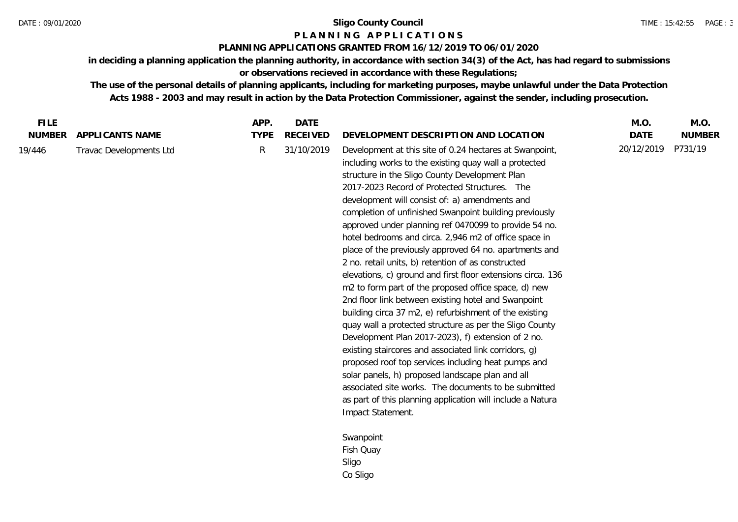## **P L A N N I N G A P P L I C A T I O N S**

### **PLANNING APPLICATIONS GRANTED FROM 16/12/2019 TO 06/01/2020**

**in deciding a planning application the planning authority, in accordance with section 34(3) of the Act, has had regard to submissions or observations recieved in accordance with these Regulations;**

**The use of the personal details of planning applicants, including for marketing purposes, maybe unlawful under the Data Protection Acts 1988 - 2003 and may result in action by the Data Protection Commissioner, against the sender, including prosecution.**

| <b>FILE</b>   |                         | APP.         | <b>DATE</b>     |                                                                                                                                                                                                                                                                                                                                                                                                                                                                                                                                                                                                                                                                                                                                                                                                                                                                                                                                                                                                                                                                                                                                                                                                                                           | M.O.        | M.O.          |
|---------------|-------------------------|--------------|-----------------|-------------------------------------------------------------------------------------------------------------------------------------------------------------------------------------------------------------------------------------------------------------------------------------------------------------------------------------------------------------------------------------------------------------------------------------------------------------------------------------------------------------------------------------------------------------------------------------------------------------------------------------------------------------------------------------------------------------------------------------------------------------------------------------------------------------------------------------------------------------------------------------------------------------------------------------------------------------------------------------------------------------------------------------------------------------------------------------------------------------------------------------------------------------------------------------------------------------------------------------------|-------------|---------------|
| <b>NUMBER</b> | APPLICANTS NAME         | <b>TYPE</b>  | <b>RECEIVED</b> | DEVELOPMENT DESCRIPTION AND LOCATION                                                                                                                                                                                                                                                                                                                                                                                                                                                                                                                                                                                                                                                                                                                                                                                                                                                                                                                                                                                                                                                                                                                                                                                                      | <b>DATE</b> | <b>NUMBER</b> |
| 19/446        | Travac Developments Ltd | $\mathsf{R}$ | 31/10/2019      | Development at this site of 0.24 hectares at Swanpoint,<br>including works to the existing quay wall a protected<br>structure in the Sligo County Development Plan<br>2017-2023 Record of Protected Structures. The<br>development will consist of: a) amendments and<br>completion of unfinished Swanpoint building previously<br>approved under planning ref 0470099 to provide 54 no.<br>hotel bedrooms and circa. 2,946 m2 of office space in<br>place of the previously approved 64 no. apartments and<br>2 no. retail units, b) retention of as constructed<br>elevations, c) ground and first floor extensions circa. 136<br>m2 to form part of the proposed office space, d) new<br>2nd floor link between existing hotel and Swanpoint<br>building circa 37 m2, e) refurbishment of the existing<br>quay wall a protected structure as per the Sligo County<br>Development Plan 2017-2023), f) extension of 2 no.<br>existing staircores and associated link corridors, g)<br>proposed roof top services including heat pumps and<br>solar panels, h) proposed landscape plan and all<br>associated site works. The documents to be submitted<br>as part of this planning application will include a Natura<br>Impact Statement. | 20/12/2019  | P731/19       |
|               |                         |              |                 | Swanpoint                                                                                                                                                                                                                                                                                                                                                                                                                                                                                                                                                                                                                                                                                                                                                                                                                                                                                                                                                                                                                                                                                                                                                                                                                                 |             |               |
|               |                         |              |                 | Fish Quay                                                                                                                                                                                                                                                                                                                                                                                                                                                                                                                                                                                                                                                                                                                                                                                                                                                                                                                                                                                                                                                                                                                                                                                                                                 |             |               |
|               |                         |              |                 | Sligo                                                                                                                                                                                                                                                                                                                                                                                                                                                                                                                                                                                                                                                                                                                                                                                                                                                                                                                                                                                                                                                                                                                                                                                                                                     |             |               |

Co Sligo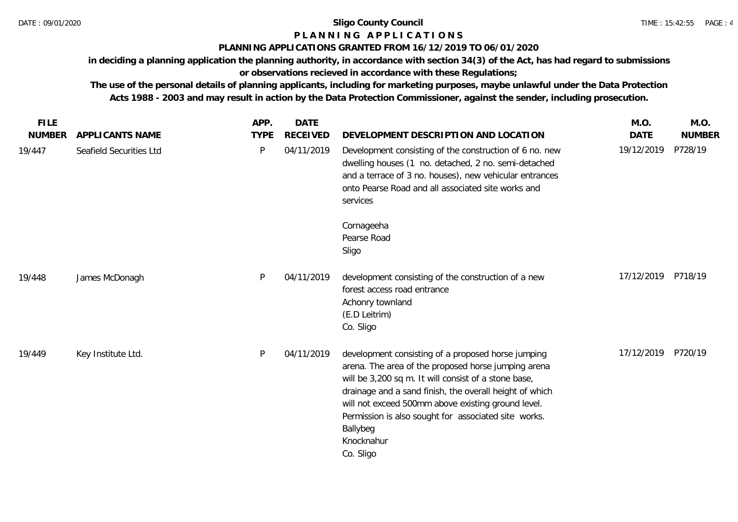# **P L A N N I N G A P P L I C A T I O N S**

## **PLANNING APPLICATIONS GRANTED FROM 16/12/2019 TO 06/01/2020**

**in deciding a planning application the planning authority, in accordance with section 34(3) of the Act, has had regard to submissions** 

## **or observations recieved in accordance with these Regulations;**

| <b>FILE</b>   |                         | APP.        | <b>DATE</b>     |                                                                                                                                                                                                                                                                                                                                                                                   | M.O.               | M.O.          |
|---------------|-------------------------|-------------|-----------------|-----------------------------------------------------------------------------------------------------------------------------------------------------------------------------------------------------------------------------------------------------------------------------------------------------------------------------------------------------------------------------------|--------------------|---------------|
| <b>NUMBER</b> | APPLICANTS NAME         | <b>TYPE</b> | <b>RECEIVED</b> | DEVELOPMENT DESCRIPTION AND LOCATION                                                                                                                                                                                                                                                                                                                                              | <b>DATE</b>        | <b>NUMBER</b> |
| 19/447        | Seafield Securities Ltd | P           | 04/11/2019      | Development consisting of the construction of 6 no. new<br>dwelling houses (1 no. detached, 2 no. semi-detached<br>and a terrace of 3 no. houses), new vehicular entrances<br>onto Pearse Road and all associated site works and<br>services                                                                                                                                      | 19/12/2019         | P728/19       |
|               |                         |             |                 | Cornageeha<br>Pearse Road<br>Sligo                                                                                                                                                                                                                                                                                                                                                |                    |               |
| 19/448        | James McDonagh          | P           | 04/11/2019      | development consisting of the construction of a new<br>forest access road entrance<br>Achonry townland<br>(E.D Leitrim)<br>Co. Sligo                                                                                                                                                                                                                                              | 17/12/2019         | P718/19       |
| 19/449        | Key Institute Ltd.      | P           | 04/11/2019      | development consisting of a proposed horse jumping<br>arena. The area of the proposed horse jumping arena<br>will be 3,200 sq m. It will consist of a stone base,<br>drainage and a sand finish, the overall height of which<br>will not exceed 500mm above existing ground level.<br>Permission is also sought for associated site works.<br>Ballybeg<br>Knocknahur<br>Co. Sligo | 17/12/2019 P720/19 |               |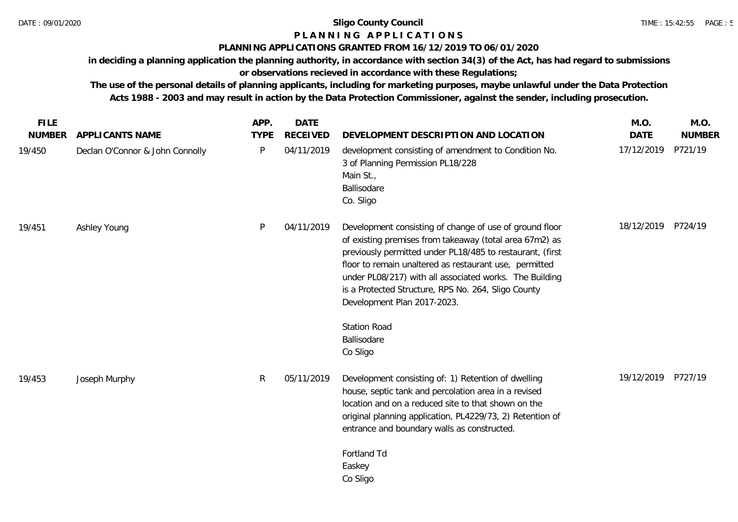## **P L A N N I N G A P P L I C A T I O N S**

## **PLANNING APPLICATIONS GRANTED FROM 16/12/2019 TO 06/01/2020**

**in deciding a planning application the planning authority, in accordance with section 34(3) of the Act, has had regard to submissions or observations recieved in accordance with these Regulations;**

| <b>FILE</b>   |                                 | APP.         | <b>DATE</b>     |                                                                                                                                                                                                                                                                                                                                                                                                                                              | M.O.        | M.O.          |
|---------------|---------------------------------|--------------|-----------------|----------------------------------------------------------------------------------------------------------------------------------------------------------------------------------------------------------------------------------------------------------------------------------------------------------------------------------------------------------------------------------------------------------------------------------------------|-------------|---------------|
| <b>NUMBER</b> | APPLICANTS NAME                 | <b>TYPE</b>  | <b>RECEIVED</b> | DEVELOPMENT DESCRIPTION AND LOCATION                                                                                                                                                                                                                                                                                                                                                                                                         | <b>DATE</b> | <b>NUMBER</b> |
| 19/450        | Declan O'Connor & John Connolly | $\mathsf{P}$ | 04/11/2019      | development consisting of amendment to Condition No.<br>3 of Planning Permission PL18/228<br>Main St.,<br>Ballisodare<br>Co. Sligo                                                                                                                                                                                                                                                                                                           | 17/12/2019  | P721/19       |
| 19/451        | Ashley Young                    | P            | 04/11/2019      | Development consisting of change of use of ground floor<br>of existing premises from takeaway (total area 67m2) as<br>previously permitted under PL18/485 to restaurant, (first<br>floor to remain unaltered as restaurant use, permitted<br>under PL08/217) with all associated works. The Building<br>is a Protected Structure, RPS No. 264, Sligo County<br>Development Plan 2017-2023.<br><b>Station Road</b><br>Ballisodare<br>Co Sligo | 18/12/2019  | P724/19       |
| 19/453        | Joseph Murphy                   | R.           | 05/11/2019      | Development consisting of: 1) Retention of dwelling<br>house, septic tank and percolation area in a revised<br>location and on a reduced site to that shown on the<br>original planning application, PL4229/73, 2) Retention of<br>entrance and boundary walls as constructed.<br>Fortland Td<br>Easkey<br>Co Sligo                                                                                                                          | 19/12/2019  | P727/19       |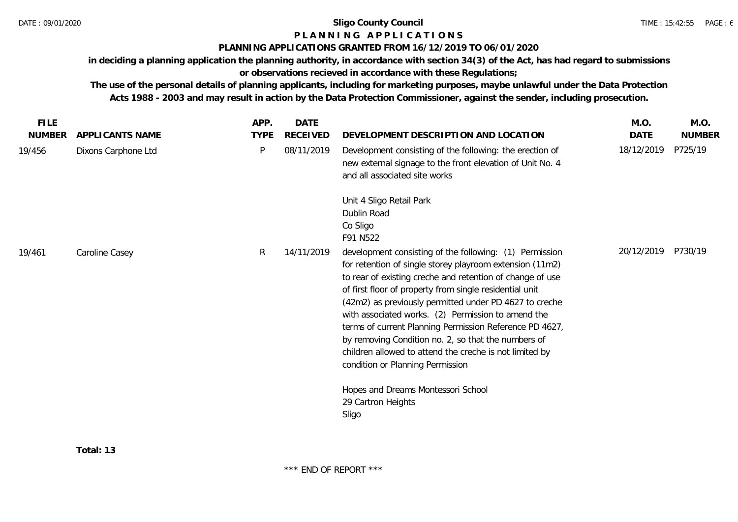## **P L A N N I N G A P P L I C A T I O N S**

## **PLANNING APPLICATIONS GRANTED FROM 16/12/2019 TO 06/01/2020**

**in deciding a planning application the planning authority, in accordance with section 34(3) of the Act, has had regard to submissions** 

**or observations recieved in accordance with these Regulations;**

| <b>FILE</b>   |                     | APP.        | DATE       |                                                                                                                                                                                                                                                                                                                                                                                                                                                                                                                                                                              | M.O.       | M.O.          |
|---------------|---------------------|-------------|------------|------------------------------------------------------------------------------------------------------------------------------------------------------------------------------------------------------------------------------------------------------------------------------------------------------------------------------------------------------------------------------------------------------------------------------------------------------------------------------------------------------------------------------------------------------------------------------|------------|---------------|
| <b>NUMBER</b> | APPLICANTS NAME     | <b>TYPE</b> | RECEIVED   | DEVELOPMENT DESCRIPTION AND LOCATION                                                                                                                                                                                                                                                                                                                                                                                                                                                                                                                                         | DATE       | <b>NUMBER</b> |
| 19/456        | Dixons Carphone Ltd | P           | 08/11/2019 | Development consisting of the following: the erection of<br>new external signage to the front elevation of Unit No. 4<br>and all associated site works                                                                                                                                                                                                                                                                                                                                                                                                                       | 18/12/2019 | P725/19       |
|               |                     |             |            | Unit 4 Sligo Retail Park<br>Dublin Road<br>Co Sligo<br>F91 N522                                                                                                                                                                                                                                                                                                                                                                                                                                                                                                              |            |               |
| 19/461        | Caroline Casey      | R.          | 14/11/2019 | development consisting of the following: (1) Permission<br>for retention of single storey playroom extension (11m2)<br>to rear of existing creche and retention of change of use<br>of first floor of property from single residential unit<br>(42m2) as previously permitted under PD 4627 to creche<br>with associated works. (2) Permission to amend the<br>terms of current Planning Permission Reference PD 4627,<br>by removing Condition no. 2, so that the numbers of<br>children allowed to attend the creche is not limited by<br>condition or Planning Permission | 20/12/2019 | P730/19       |
|               |                     |             |            | Hopes and Dreams Montessori School<br>29 Cartron Heights<br>Sligo                                                                                                                                                                                                                                                                                                                                                                                                                                                                                                            |            |               |
|               |                     |             |            |                                                                                                                                                                                                                                                                                                                                                                                                                                                                                                                                                                              |            |               |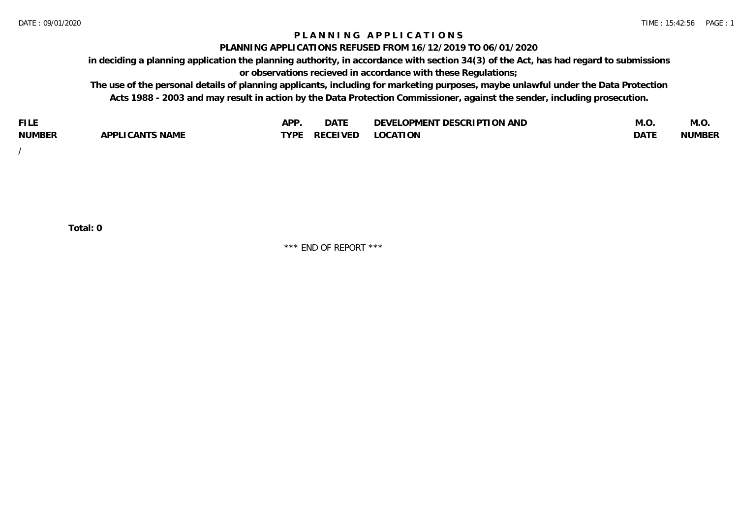## **P L A N N I N G A P P L I C A T I O N S**

#### **PLANNING APPLICATIONS REFUSED FROM 16/12/2019 TO 06/01/2020**

**in deciding a planning application the planning authority, in accordance with section 34(3) of the Act, has had regard to submissions or observations recieved in accordance with these Regulations;**

**The use of the personal details of planning applicants, including for marketing purposes, maybe unlawful under the Data Protection Acts 1988 - 2003 and may result in action by the Data Protection Commissioner, against the sender, including prosecution.**

| <b>FILE</b>   |                                                     | A DE | $\sim$ $\sim$ $\sim$<br>DA I | <b>ENT DESCRIPTION AND</b><br>$\cap$ nn.<br>)E\/F<br>. JIEN L<br>பட | IVI.U       | IVI.U         |
|---------------|-----------------------------------------------------|------|------------------------------|---------------------------------------------------------------------|-------------|---------------|
| <b>NUMBER</b> | <b>ANTS NAME</b><br>A DDI<br>$\sqrt{2}$<br>CAN<br>u | TVDL | ◡⊢                           | <b>OCATION</b>                                                      | <b>DATF</b> | <b>NUMBER</b> |

/

**Total: 0**

\*\*\* END OF REPORT \*\*\*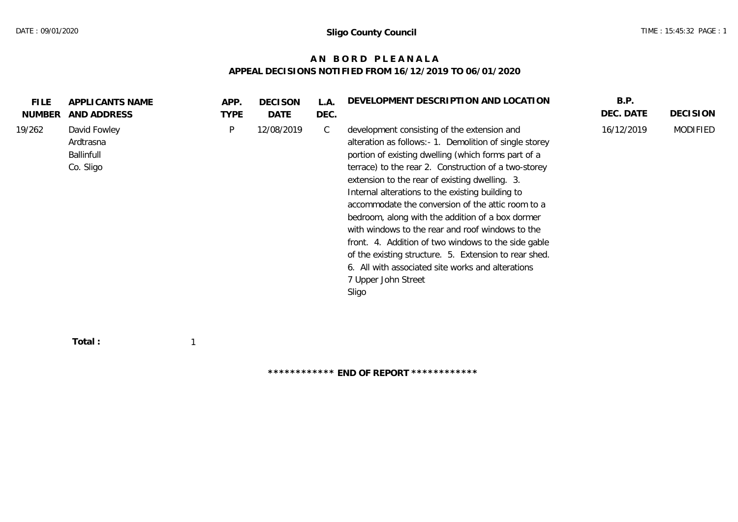## **A N B O R D P L E A N A L A APPEAL DECISIONS NOTIFIED FROM 16/12/2019 TO 06/01/2020**

| <b>FILE</b><br><b>NUMBER</b> | APPLICANTS NAME<br>AND ADDRESS                              | APP.<br><b>TYPE</b> | <b>DECISON</b><br>DATE | L.A.<br>DEC. | DEVELOPMENT DESCRIPTION AND LOCATION                                                                                                                                                                                                                                                                                                                                                                                                                                                                                                                                                                                                                                                          | B.P.<br>DEC. DATE | <b>DECISION</b> |
|------------------------------|-------------------------------------------------------------|---------------------|------------------------|--------------|-----------------------------------------------------------------------------------------------------------------------------------------------------------------------------------------------------------------------------------------------------------------------------------------------------------------------------------------------------------------------------------------------------------------------------------------------------------------------------------------------------------------------------------------------------------------------------------------------------------------------------------------------------------------------------------------------|-------------------|-----------------|
| 19/262                       | David Fowley<br>Ardtrasna<br><b>Ballinfull</b><br>Co. Sligo | P                   | 12/08/2019             | C            | development consisting of the extension and<br>alteration as follows: - 1. Demolition of single storey<br>portion of existing dwelling (which forms part of a<br>terrace) to the rear 2. Construction of a two-storey<br>extension to the rear of existing dwelling. 3.<br>Internal alterations to the existing building to<br>accommodate the conversion of the attic room to a<br>bedroom, along with the addition of a box dormer<br>with windows to the rear and roof windows to the<br>front. 4. Addition of two windows to the side gable<br>of the existing structure. 5. Extension to rear shed.<br>6. All with associated site works and alterations<br>7 Upper John Street<br>Sligo | 16/12/2019        | <b>MODIFIED</b> |
|                              |                                                             |                     |                        |              |                                                                                                                                                                                                                                                                                                                                                                                                                                                                                                                                                                                                                                                                                               |                   |                 |

 **Total :** 1

**\*\*\*\*\*\*\*\*\*\*\*\* END OF REPORT \*\*\*\*\*\*\*\*\*\*\*\***